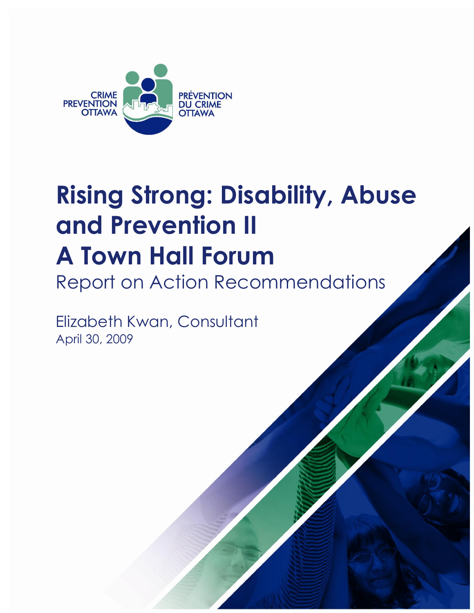

# **Rising Strong: Disability, Abuse and Prevention II A Town Hall Forum**

Report on Action Recommendations

Elizabeth Kwan, Consultant April 30, 2009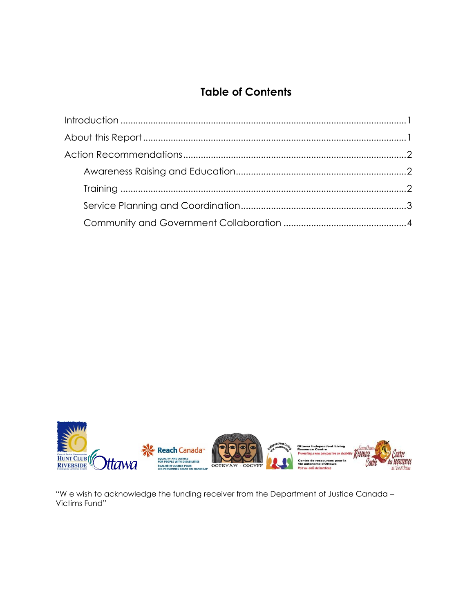# **Table of Contents**



"We wish to acknowledge the funding receiver from the Department of Justice Canada -Victims Fund"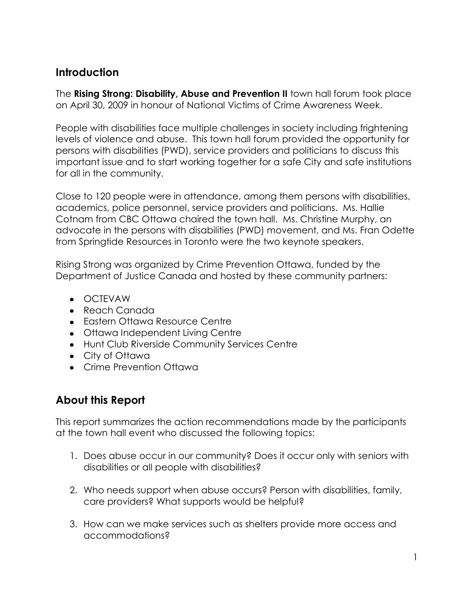# <span id="page-4-0"></span>**Introduction**

The **Rising Strong: Disability, Abuse and Prevention II** town hall forum took place on April 30, 2009 in honour of National Victims of Crime Awareness Week.

People with disabilities face multiple challenges in society including frightening levels of violence and abuse. This town hall forum provided the opportunity for persons with disabilities (PWD), service providers and politicians to discuss this important issue and to start working together for a safe City and safe institutions for all in the community.

Close to 120 people were in attendance, among them persons with disabilities, academics, police personnel, service providers and politicians. Ms. Hallie Cotnam from CBC Ottawa chaired the town hall. Ms. Christine Murphy, an advocate in the persons with disabilities (PWD) movement, and Ms. Fran Odette from Springtide Resources in Toronto were the two keynote speakers.

Rising Strong was organized by Crime Prevention Ottawa, funded by the Department of Justice Canada and hosted by these community partners:

- OCTEVAW
- Reach Canada
- Eastern Ottawa Resource Centre
- Ottawa Independent Living Centre
- Hunt Club Riverside Community Services Centre
- City of Ottawa
- Crime Prevention Ottawa

# <span id="page-4-1"></span>**About this Report**

This report summarizes the action recommendations made by the participants at the town hall event who discussed the following topics:

- 1. Does abuse occur in our community? Does it occur only with seniors with disabilities or all people with disabilities?
- 2. Who needs support when abuse occurs? Person with disabilities, family, care providers? What supports would be helpful?
- 3. How can we make services such as shelters provide more access and accommodations?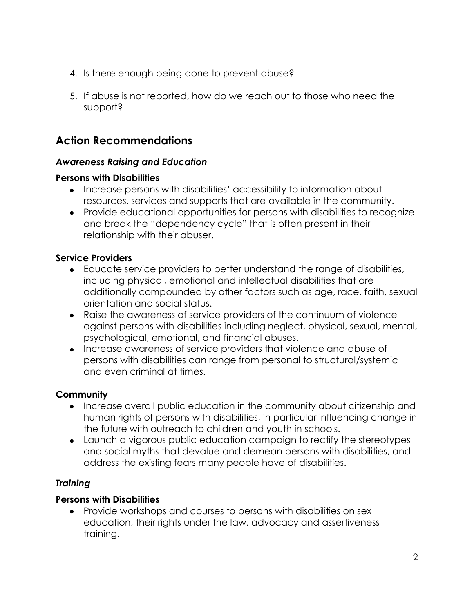- 4. Is there enough being done to prevent abuse?
- 5. If abuse is not reported, how do we reach out to those who need the support?

# <span id="page-5-0"></span>**Action Recommendations**

#### <span id="page-5-1"></span>*Awareness Raising and Education*

#### **Persons with Disabilities**

- Increase persons with disabilities' accessibility to information about resources, services and supports that are available in the community.
- Provide educational opportunities for persons with disabilities to recognize and break the "dependency cycle" that is often present in their relationship with their abuser.

#### **Service Providers**

- Educate service providers to better understand the range of disabilities, including physical, emotional and intellectual disabilities that are additionally compounded by other factors such as age, race, faith, sexual orientation and social status.
- Raise the awareness of service providers of the continuum of violence against persons with disabilities including neglect, physical, sexual, mental, psychological, emotional, and financial abuses.
- Increase awareness of service providers that violence and abuse of persons with disabilities can range from personal to structural/systemic and even criminal at times.

# **Community**

- Increase overall public education in the community about citizenship and human rights of persons with disabilities, in particular influencing change in the future with outreach to children and youth in schools.
- Launch a vigorous public education campaign to rectify the stereotypes and social myths that devalue and demean persons with disabilities, and address the existing fears many people have of disabilities.

# <span id="page-5-2"></span>*Training*

# **Persons with Disabilities**

Provide workshops and courses to persons with disabilities on sex education, their rights under the law, advocacy and assertiveness training.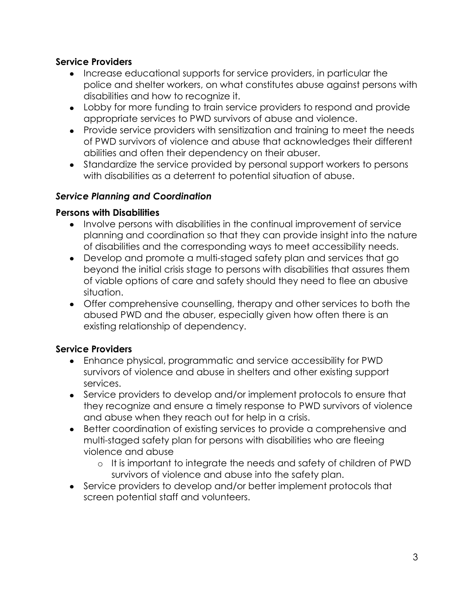#### **Service Providers**

- Increase educational supports for service providers, in particular the police and shelter workers, on what constitutes abuse against persons with disabilities and how to recognize it.
- Lobby for more funding to train service providers to respond and provide appropriate services to PWD survivors of abuse and violence.
- Provide service providers with sensitization and training to meet the needs of PWD survivors of violence and abuse that acknowledges their different abilities and often their dependency on their abuser.
- Standardize the service provided by personal support workers to persons with disabilities as a deterrent to potential situation of abuse.

#### <span id="page-6-0"></span>*Service Planning and Coordination*

#### **Persons with Disabilities**

- Involve persons with disabilities in the continual improvement of service planning and coordination so that they can provide insight into the nature of disabilities and the corresponding ways to meet accessibility needs.
- Develop and promote a multi-staged safety plan and services that go beyond the initial crisis stage to persons with disabilities that assures them of viable options of care and safety should they need to flee an abusive situation.
- Offer comprehensive counselling, therapy and other services to both the abused PWD and the abuser, especially given how often there is an existing relationship of dependency.

# **Service Providers**

- Enhance physical, programmatic and service accessibility for PWD survivors of violence and abuse in shelters and other existing support services.
- Service providers to develop and/or implement protocols to ensure that they recognize and ensure a timely response to PWD survivors of violence and abuse when they reach out for help in a crisis.
- Better coordination of existing services to provide a comprehensive and multi-staged safety plan for persons with disabilities who are fleeing violence and abuse
	- o It is important to integrate the needs and safety of children of PWD survivors of violence and abuse into the safety plan.
- Service providers to develop and/or better implement protocols that screen potential staff and volunteers.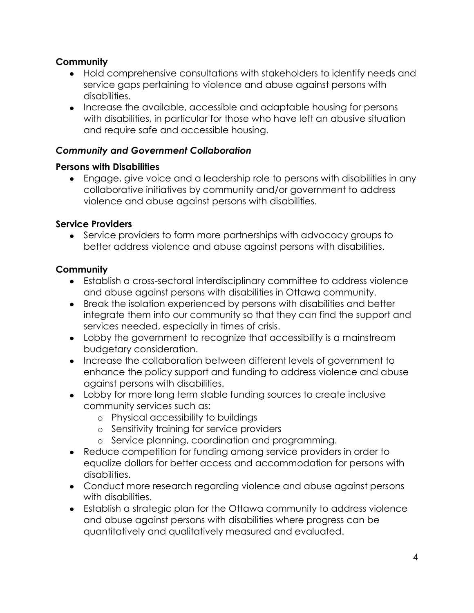# **Community**

- Hold comprehensive consultations with stakeholders to identify needs and service gaps pertaining to violence and abuse against persons with disabilities.
- Increase the available, accessible and adaptable housing for persons with disabilities, in particular for those who have left an abusive situation and require safe and accessible housing.

# <span id="page-7-0"></span>*Community and Government Collaboration*

#### **Persons with Disabilities**

Engage, give voice and a leadership role to persons with disabilities in any collaborative initiatives by community and/or government to address violence and abuse against persons with disabilities.

# **Service Providers**

• Service providers to form more partnerships with advocacy groups to better address violence and abuse against persons with disabilities.

# **Community**

- Establish a cross-sectoral interdisciplinary committee to address violence and abuse against persons with disabilities in Ottawa community.
- Break the isolation experienced by persons with disabilities and better integrate them into our community so that they can find the support and services needed, especially in times of crisis.
- Lobby the government to recognize that accessibility is a mainstream budgetary consideration.
- Increase the collaboration between different levels of government to enhance the policy support and funding to address violence and abuse against persons with disabilities.
- Lobby for more long term stable funding sources to create inclusive community services such as:
	- o Physical accessibility to buildings
	- o Sensitivity training for service providers
	- o Service planning, coordination and programming.
- Reduce competition for funding among service providers in order to equalize dollars for better access and accommodation for persons with disabilities.
- Conduct more research regarding violence and abuse against persons with disabilities.
- Establish a strategic plan for the Ottawa community to address violence and abuse against persons with disabilities where progress can be quantitatively and qualitatively measured and evaluated.